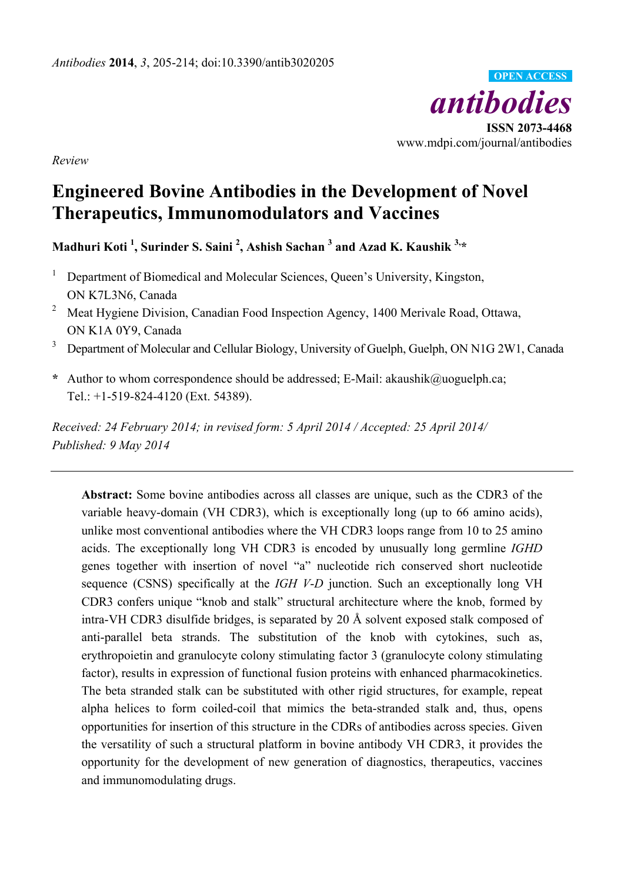

*Review* 

# **Engineered Bovine Antibodies in the Development of Novel Therapeutics, Immunomodulators and Vaccines**

**Madhuri Koti 1 , Surinder S. Saini 2 , Ashish Sachan <sup>3</sup> and Azad K. Kaushik 3,\*** 

- 1 Department of Biomedical and Molecular Sciences, Queen's University, Kingston, ON K7L3N6, Canada
- <sup>2</sup> Meat Hygiene Division, Canadian Food Inspection Agency, 1400 Merivale Road, Ottawa, ON K1A 0Y9, Canada
- 3 Department of Molecular and Cellular Biology, University of Guelph, Guelph, ON N1G 2W1, Canada
- **\*** Author to whom correspondence should be addressed; E-Mail: akaushik@uoguelph.ca; Tel.: +1-519-824-4120 (Ext. 54389).

*Received: 24 February 2014; in revised form: 5 April 2014 / Accepted: 25 April 2014/ Published: 9 May 2014* 

**Abstract:** Some bovine antibodies across all classes are unique, such as the CDR3 of the variable heavy-domain (VH CDR3), which is exceptionally long (up to 66 amino acids), unlike most conventional antibodies where the VH CDR3 loops range from 10 to 25 amino acids. The exceptionally long VH CDR3 is encoded by unusually long germline *IGHD* genes together with insertion of novel "a" nucleotide rich conserved short nucleotide sequence (CSNS) specifically at the *IGH V*-*D* junction. Such an exceptionally long VH CDR3 confers unique "knob and stalk" structural architecture where the knob, formed by intra-VH CDR3 disulfide bridges, is separated by 20 Å solvent exposed stalk composed of anti-parallel beta strands. The substitution of the knob with cytokines, such as, erythropoietin and granulocyte colony stimulating factor 3 (granulocyte colony stimulating factor), results in expression of functional fusion proteins with enhanced pharmacokinetics. The beta stranded stalk can be substituted with other rigid structures, for example, repeat alpha helices to form coiled-coil that mimics the beta-stranded stalk and, thus, opens opportunities for insertion of this structure in the CDRs of antibodies across species. Given the versatility of such a structural platform in bovine antibody VH CDR3, it provides the opportunity for the development of new generation of diagnostics, therapeutics, vaccines and immunomodulating drugs.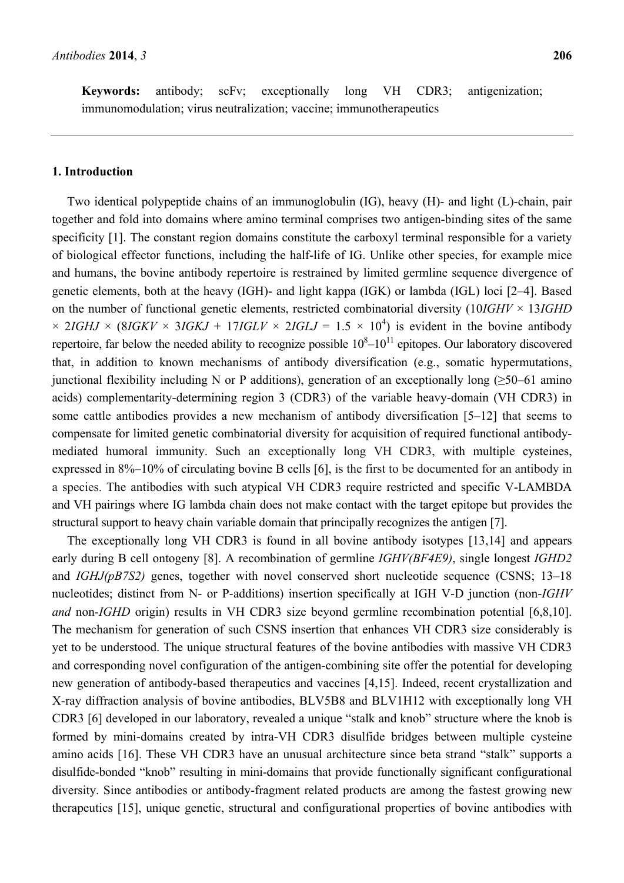**Keywords:** antibody; scFv; exceptionally long VH CDR3; antigenization; immunomodulation; virus neutralization; vaccine; immunotherapeutics

### **1. Introduction**

Two identical polypeptide chains of an immunoglobulin (IG), heavy (H)- and light (L)-chain, pair together and fold into domains where amino terminal comprises two antigen-binding sites of the same specificity [1]. The constant region domains constitute the carboxyl terminal responsible for a variety of biological effector functions, including the half-life of IG. Unlike other species, for example mice and humans, the bovine antibody repertoire is restrained by limited germline sequence divergence of genetic elements, both at the heavy (IGH)- and light kappa (IGK) or lambda (IGL) loci [2–4]. Based on the number of functional genetic elements, restricted combinatorial diversity (10*IGHV* × 13*IGHD*  $\times$  2*IGHJ*  $\times$  (8*IGKV*  $\times$  3*IGKJ* + 17*IGLV*  $\times$  2*IGLJ* = 1.5  $\times$  10<sup>4</sup>) is evident in the bovine antibody repertoire, far below the needed ability to recognize possible  $10<sup>8</sup>-10<sup>11</sup>$  epitopes. Our laboratory discovered that, in addition to known mechanisms of antibody diversification (e.g., somatic hypermutations, junctional flexibility including N or P additions), generation of an exceptionally long ( $\geq$ 50–61 amino acids) complementarity-determining region 3 (CDR3) of the variable heavy-domain (VH CDR3) in some cattle antibodies provides a new mechanism of antibody diversification [5–12] that seems to compensate for limited genetic combinatorial diversity for acquisition of required functional antibodymediated humoral immunity. Such an exceptionally long VH CDR3, with multiple cysteines, expressed in 8%–10% of circulating bovine B cells [6], is the first to be documented for an antibody in a species. The antibodies with such atypical VH CDR3 require restricted and specific V-LAMBDA and VH pairings where IG lambda chain does not make contact with the target epitope but provides the structural support to heavy chain variable domain that principally recognizes the antigen [7].

The exceptionally long VH CDR3 is found in all bovine antibody isotypes [13,14] and appears early during B cell ontogeny [8]. A recombination of germline *IGHV(BF4E9)*, single longest *IGHD2* and *IGHJ(pB7S2)* genes, together with novel conserved short nucleotide sequence (CSNS; 13–18 nucleotides; distinct from N- or P-additions) insertion specifically at IGH V-D junction (non-*IGHV and* non-*IGHD* origin) results in VH CDR3 size beyond germline recombination potential [6,8,10]. The mechanism for generation of such CSNS insertion that enhances VH CDR3 size considerably is yet to be understood. The unique structural features of the bovine antibodies with massive VH CDR3 and corresponding novel configuration of the antigen-combining site offer the potential for developing new generation of antibody-based therapeutics and vaccines [4,15]. Indeed, recent crystallization and X-ray diffraction analysis of bovine antibodies, BLV5B8 and BLV1H12 with exceptionally long VH CDR3 [6] developed in our laboratory, revealed a unique "stalk and knob" structure where the knob is formed by mini-domains created by intra-VH CDR3 disulfide bridges between multiple cysteine amino acids [16]. These VH CDR3 have an unusual architecture since beta strand "stalk" supports a disulfide-bonded "knob" resulting in mini-domains that provide functionally significant configurational diversity. Since antibodies or antibody-fragment related products are among the fastest growing new therapeutics [15], unique genetic, structural and configurational properties of bovine antibodies with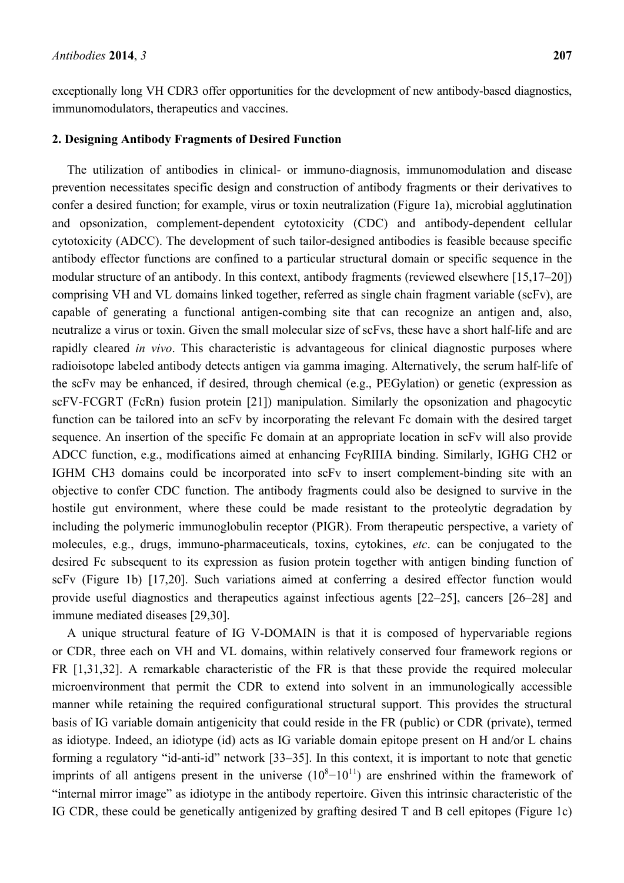exceptionally long VH CDR3 offer opportunities for the development of new antibody-based diagnostics, immunomodulators, therapeutics and vaccines.

#### **2. Designing Antibody Fragments of Desired Function**

The utilization of antibodies in clinical- or immuno-diagnosis, immunomodulation and disease prevention necessitates specific design and construction of antibody fragments or their derivatives to confer a desired function; for example, virus or toxin neutralization (Figure 1a), microbial agglutination and opsonization, complement-dependent cytotoxicity (CDC) and antibody-dependent cellular cytotoxicity (ADCC). The development of such tailor-designed antibodies is feasible because specific antibody effector functions are confined to a particular structural domain or specific sequence in the modular structure of an antibody. In this context, antibody fragments (reviewed elsewhere [15,17–20]) comprising VH and VL domains linked together, referred as single chain fragment variable (scFv), are capable of generating a functional antigen-combing site that can recognize an antigen and, also, neutralize a virus or toxin. Given the small molecular size of scFvs, these have a short half-life and are rapidly cleared *in vivo*. This characteristic is advantageous for clinical diagnostic purposes where radioisotope labeled antibody detects antigen via gamma imaging. Alternatively, the serum half-life of the scFv may be enhanced, if desired, through chemical (e.g., PEGylation) or genetic (expression as scFV-FCGRT (FcRn) fusion protein [21]) manipulation. Similarly the opsonization and phagocytic function can be tailored into an scFv by incorporating the relevant Fc domain with the desired target sequence. An insertion of the specific Fc domain at an appropriate location in scFv will also provide ADCC function, e.g., modifications aimed at enhancing FcγRIIIA binding. Similarly, IGHG CH2 or IGHM CH3 domains could be incorporated into scFv to insert complement-binding site with an objective to confer CDC function. The antibody fragments could also be designed to survive in the hostile gut environment, where these could be made resistant to the proteolytic degradation by including the polymeric immunoglobulin receptor (PIGR). From therapeutic perspective, a variety of molecules, e.g., drugs, immuno-pharmaceuticals, toxins, cytokines, *etc*. can be conjugated to the desired Fc subsequent to its expression as fusion protein together with antigen binding function of scFv (Figure 1b) [17,20]. Such variations aimed at conferring a desired effector function would provide useful diagnostics and therapeutics against infectious agents [22–25], cancers [26–28] and immune mediated diseases [29,30].

A unique structural feature of IG V-DOMAIN is that it is composed of hypervariable regions or CDR, three each on VH and VL domains, within relatively conserved four framework regions or FR [1,31,32]. A remarkable characteristic of the FR is that these provide the required molecular microenvironment that permit the CDR to extend into solvent in an immunologically accessible manner while retaining the required configurational structural support. This provides the structural basis of IG variable domain antigenicity that could reside in the FR (public) or CDR (private), termed as idiotype. Indeed, an idiotype (id) acts as IG variable domain epitope present on H and/or L chains forming a regulatory "id-anti-id" network [33–35]. In this context, it is important to note that genetic imprints of all antigens present in the universe  $(10^{8}-10^{11})$  are enshrined within the framework of "internal mirror image" as idiotype in the antibody repertoire. Given this intrinsic characteristic of the IG CDR, these could be genetically antigenized by grafting desired T and B cell epitopes (Figure 1c)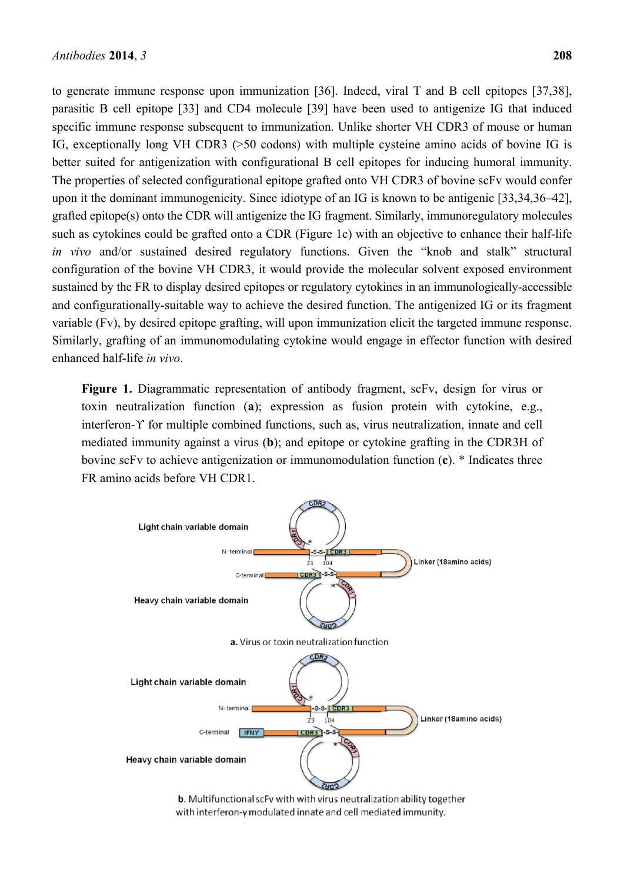to generate immune response upon immunization [36]. Indeed, viral T and B cell epitopes [37,38], parasitic B cell epitope [33] and CD4 molecule [39] have been used to antigenize IG that induced specific immune response subsequent to immunization. Unlike shorter VH CDR3 of mouse or human IG, exceptionally long VH CDR3 (>50 codons) with multiple cysteine amino acids of bovine IG is better suited for antigenization with configurational B cell epitopes for inducing humoral immunity. The properties of selected configurational epitope grafted onto VH CDR3 of bovine scFv would confer upon it the dominant immunogenicity. Since idiotype of an IG is known to be antigenic [33,34,36–42], grafted epitope(s) onto the CDR will antigenize the IG fragment. Similarly, immunoregulatory molecules such as cytokines could be grafted onto a CDR (Figure 1c) with an objective to enhance their half-life *in vivo* and/or sustained desired regulatory functions. Given the "knob and stalk" structural configuration of the bovine VH CDR3, it would provide the molecular solvent exposed environment sustained by the FR to display desired epitopes or regulatory cytokines in an immunologically-accessible and configurationally-suitable way to achieve the desired function. The antigenized IG or its fragment variable (Fv), by desired epitope grafting, will upon immunization elicit the targeted immune response. Similarly, grafting of an immunomodulating cytokine would engage in effector function with desired enhanced half-life *in vivo*.

**Figure 1.** Diagrammatic representation of antibody fragment, scFv, design for virus or toxin neutralization function (**a**); expression as fusion protein with cytokine, e.g., interferon-ϒ for multiple combined functions, such as, virus neutralization, innate and cell mediated immunity against a virus (**b**); and epitope or cytokine grafting in the CDR3H of bovine scFv to achieve antigenization or immunomodulation function (**c**). \* Indicates three FR amino acids before VH CDR1.



b. Multifunctional scFv with with virus neutralization ability together with interferon-y modulated innate and cell mediated immunity.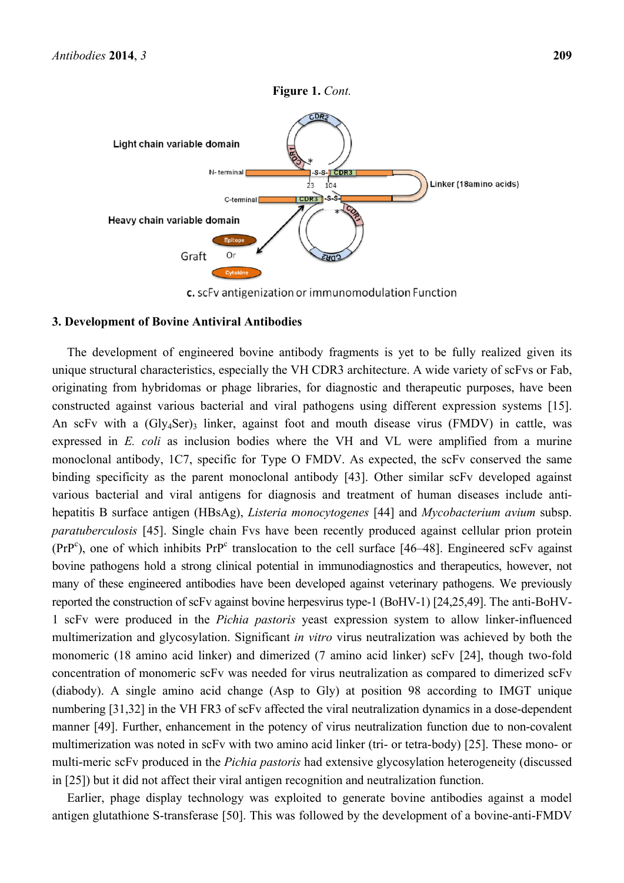

c. scFv antigenization or immunomodulation Function

#### **3. Development of Bovine Antiviral Antibodies**

The development of engineered bovine antibody fragments is yet to be fully realized given its unique structural characteristics, especially the VH CDR3 architecture. A wide variety of scFvs or Fab, originating from hybridomas or phage libraries, for diagnostic and therapeutic purposes, have been constructed against various bacterial and viral pathogens using different expression systems [15]. An scFv with a  $(Gly_4Ser)$ <sub>3</sub> linker, against foot and mouth disease virus (FMDV) in cattle, was expressed in *E. coli* as inclusion bodies where the VH and VL were amplified from a murine monoclonal antibody, 1C7, specific for Type O FMDV. As expected, the scFv conserved the same binding specificity as the parent monoclonal antibody [43]. Other similar scFv developed against various bacterial and viral antigens for diagnosis and treatment of human diseases include antihepatitis B surface antigen (HBsAg), *Listeria monocytogenes* [44] and *Mycobacterium avium* subsp. *paratuberculosis* [45]. Single chain Fvs have been recently produced against cellular prion protein  $(PrP<sup>c</sup>)$ , one of which inhibits  $PrP<sup>c</sup>$  translocation to the cell surface [46–48]. Engineered scFv against bovine pathogens hold a strong clinical potential in immunodiagnostics and therapeutics, however, not many of these engineered antibodies have been developed against veterinary pathogens. We previously reported the construction of scFv against bovine herpesvirus type-1 (BoHV-1) [24,25,49]. The anti-BoHV-1 scFv were produced in the *Pichia pastoris* yeast expression system to allow linker-influenced multimerization and glycosylation. Significant *in vitro* virus neutralization was achieved by both the monomeric (18 amino acid linker) and dimerized (7 amino acid linker) scFv [24], though two-fold concentration of monomeric scFv was needed for virus neutralization as compared to dimerized scFv (diabody). A single amino acid change (Asp to Gly) at position 98 according to IMGT unique numbering [31,32] in the VH FR3 of scFv affected the viral neutralization dynamics in a dose-dependent manner [49]. Further, enhancement in the potency of virus neutralization function due to non-covalent multimerization was noted in scFv with two amino acid linker (tri- or tetra-body) [25]. These mono- or multi-meric scFv produced in the *Pichia pastoris* had extensive glycosylation heterogeneity (discussed in [25]) but it did not affect their viral antigen recognition and neutralization function.

Earlier, phage display technology was exploited to generate bovine antibodies against a model antigen glutathione S-transferase [50]. This was followed by the development of a bovine-anti-FMDV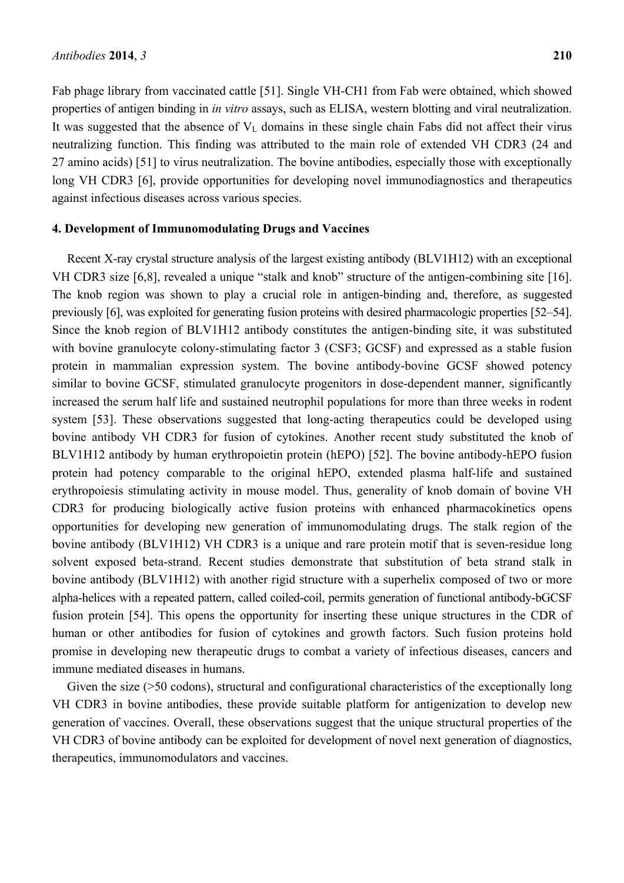Fab phage library from vaccinated cattle [51]. Single VH-CH1 from Fab were obtained, which showed properties of antigen binding in *in vitro* assays, such as ELISA, western blotting and viral neutralization. It was suggested that the absence of  $V<sub>L</sub>$  domains in these single chain Fabs did not affect their virus neutralizing function. This finding was attributed to the main role of extended VH CDR3 (24 and 27 amino acids) [51] to virus neutralization. The bovine antibodies, especially those with exceptionally long VH CDR3 [6], provide opportunities for developing novel immunodiagnostics and therapeutics against infectious diseases across various species.

## **4. Development of Immunomodulating Drugs and Vaccines**

Recent X-ray crystal structure analysis of the largest existing antibody (BLV1H12) with an exceptional VH CDR3 size [6,8], revealed a unique "stalk and knob" structure of the antigen-combining site [16]. The knob region was shown to play a crucial role in antigen-binding and, therefore, as suggested previously [6], was exploited for generating fusion proteins with desired pharmacologic properties [52–54]. Since the knob region of BLV1H12 antibody constitutes the antigen-binding site, it was substituted with bovine granulocyte colony-stimulating factor 3 (CSF3; GCSF) and expressed as a stable fusion protein in mammalian expression system. The bovine antibody-bovine GCSF showed potency similar to bovine GCSF, stimulated granulocyte progenitors in dose-dependent manner, significantly increased the serum half life and sustained neutrophil populations for more than three weeks in rodent system [53]. These observations suggested that long-acting therapeutics could be developed using bovine antibody VH CDR3 for fusion of cytokines. Another recent study substituted the knob of BLV1H12 antibody by human erythropoietin protein (hEPO) [52]. The bovine antibody-hEPO fusion protein had potency comparable to the original hEPO, extended plasma half-life and sustained erythropoiesis stimulating activity in mouse model. Thus, generality of knob domain of bovine VH CDR3 for producing biologically active fusion proteins with enhanced pharmacokinetics opens opportunities for developing new generation of immunomodulating drugs. The stalk region of the bovine antibody (BLV1H12) VH CDR3 is a unique and rare protein motif that is seven-residue long solvent exposed beta-strand. Recent studies demonstrate that substitution of beta strand stalk in bovine antibody (BLV1H12) with another rigid structure with a superhelix composed of two or more alpha-helices with a repeated pattern, called coiled-coil, permits generation of functional antibody-bGCSF fusion protein [54]. This opens the opportunity for inserting these unique structures in the CDR of human or other antibodies for fusion of cytokines and growth factors. Such fusion proteins hold promise in developing new therapeutic drugs to combat a variety of infectious diseases, cancers and immune mediated diseases in humans.

Given the size ( $>50$  codons), structural and configurational characteristics of the exceptionally long VH CDR3 in bovine antibodies, these provide suitable platform for antigenization to develop new generation of vaccines. Overall, these observations suggest that the unique structural properties of the VH CDR3 of bovine antibody can be exploited for development of novel next generation of diagnostics, therapeutics, immunomodulators and vaccines.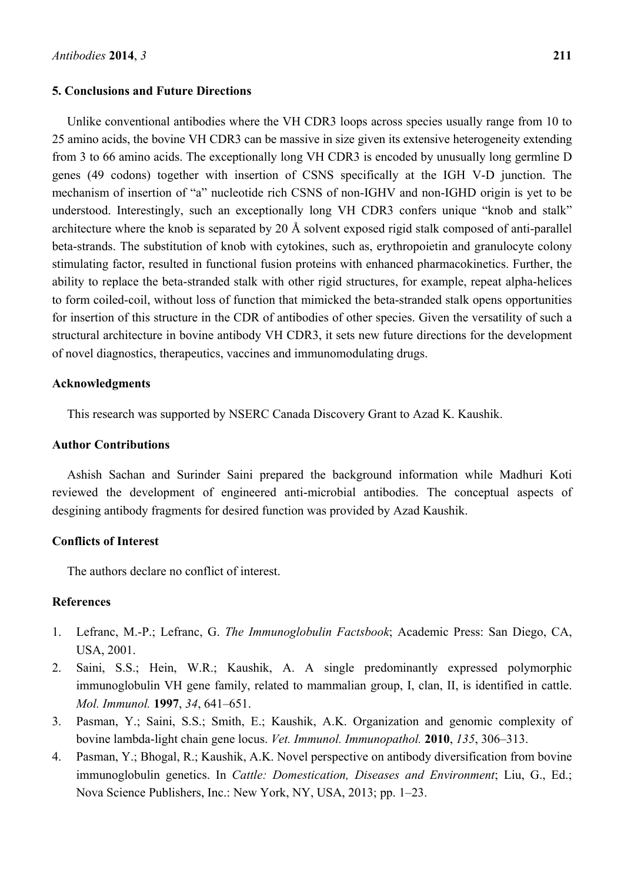#### **5. Conclusions and Future Directions**

Unlike conventional antibodies where the VH CDR3 loops across species usually range from 10 to 25 amino acids, the bovine VH CDR3 can be massive in size given its extensive heterogeneity extending from 3 to 66 amino acids. The exceptionally long VH CDR3 is encoded by unusually long germline D genes (49 codons) together with insertion of CSNS specifically at the IGH V-D junction. The mechanism of insertion of "a" nucleotide rich CSNS of non-IGHV and non-IGHD origin is yet to be understood. Interestingly, such an exceptionally long VH CDR3 confers unique "knob and stalk" architecture where the knob is separated by 20 Å solvent exposed rigid stalk composed of anti-parallel beta-strands. The substitution of knob with cytokines, such as, erythropoietin and granulocyte colony stimulating factor, resulted in functional fusion proteins with enhanced pharmacokinetics. Further, the ability to replace the beta-stranded stalk with other rigid structures, for example, repeat alpha-helices to form coiled-coil, without loss of function that mimicked the beta-stranded stalk opens opportunities for insertion of this structure in the CDR of antibodies of other species. Given the versatility of such a structural architecture in bovine antibody VH CDR3, it sets new future directions for the development of novel diagnostics, therapeutics, vaccines and immunomodulating drugs.

## **Acknowledgments**

This research was supported by NSERC Canada Discovery Grant to Azad K. Kaushik.

## **Author Contributions**

Ashish Sachan and Surinder Saini prepared the background information while Madhuri Koti reviewed the development of engineered anti-microbial antibodies. The conceptual aspects of desgining antibody fragments for desired function was provided by Azad Kaushik.

# **Conflicts of Interest**

The authors declare no conflict of interest.

# **References**

- 1. Lefranc, M.-P.; Lefranc, G. *The Immunoglobulin Factsbook*; Academic Press: San Diego, CA, USA, 2001.
- 2. Saini, S.S.; Hein, W.R.; Kaushik, A. A single predominantly expressed polymorphic immunoglobulin VH gene family, related to mammalian group, I, clan, II, is identified in cattle. *Mol. Immunol.* **1997**, *34*, 641–651.
- 3. Pasman, Y.; Saini, S.S.; Smith, E.; Kaushik, A.K. Organization and genomic complexity of bovine lambda-light chain gene locus. *Vet. Immunol. Immunopathol.* **2010**, *135*, 306–313.
- 4. Pasman, Y.; Bhogal, R.; Kaushik, A.K. Novel perspective on antibody diversification from bovine immunoglobulin genetics. In *Cattle: Domestication, Diseases and Environment*; Liu, G., Ed.; Nova Science Publishers, Inc.: New York, NY, USA, 2013; pp. 1–23.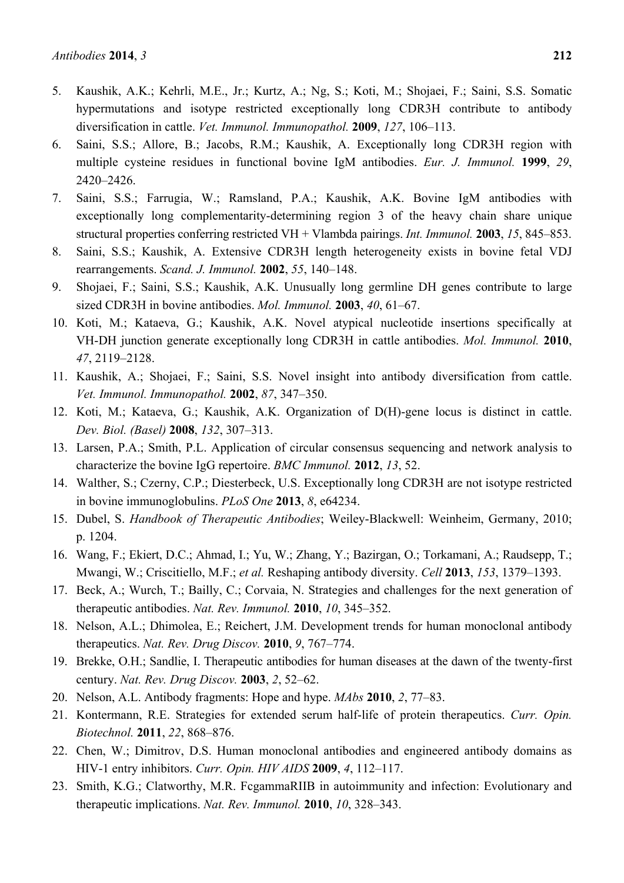- 5. Kaushik, A.K.; Kehrli, M.E., Jr.; Kurtz, A.; Ng, S.; Koti, M.; Shojaei, F.; Saini, S.S. Somatic hypermutations and isotype restricted exceptionally long CDR3H contribute to antibody diversification in cattle. *Vet. Immunol. Immunopathol.* **2009**, *127*, 106–113.
- 6. Saini, S.S.; Allore, B.; Jacobs, R.M.; Kaushik, A. Exceptionally long CDR3H region with multiple cysteine residues in functional bovine IgM antibodies. *Eur. J. Immunol.* **1999**, *29*, 2420–2426.
- 7. Saini, S.S.; Farrugia, W.; Ramsland, P.A.; Kaushik, A.K. Bovine IgM antibodies with exceptionally long complementarity-determining region 3 of the heavy chain share unique structural properties conferring restricted VH + Vlambda pairings. *Int. Immunol.* **2003**, *15*, 845–853.
- 8. Saini, S.S.; Kaushik, A. Extensive CDR3H length heterogeneity exists in bovine fetal VDJ rearrangements. *Scand. J. Immunol.* **2002**, *55*, 140–148.
- 9. Shojaei, F.; Saini, S.S.; Kaushik, A.K. Unusually long germline DH genes contribute to large sized CDR3H in bovine antibodies. *Mol. Immunol.* **2003**, *40*, 61–67.
- 10. Koti, M.; Kataeva, G.; Kaushik, A.K. Novel atypical nucleotide insertions specifically at VH-DH junction generate exceptionally long CDR3H in cattle antibodies. *Mol. Immunol.* **2010**, *47*, 2119–2128.
- 11. Kaushik, A.; Shojaei, F.; Saini, S.S. Novel insight into antibody diversification from cattle. *Vet. Immunol. Immunopathol.* **2002**, *87*, 347–350.
- 12. Koti, M.; Kataeva, G.; Kaushik, A.K. Organization of D(H)-gene locus is distinct in cattle. *Dev. Biol. (Basel)* **2008**, *132*, 307–313.
- 13. Larsen, P.A.; Smith, P.L. Application of circular consensus sequencing and network analysis to characterize the bovine IgG repertoire. *BMC Immunol.* **2012**, *13*, 52.
- 14. Walther, S.; Czerny, C.P.; Diesterbeck, U.S. Exceptionally long CDR3H are not isotype restricted in bovine immunoglobulins. *PLoS One* **2013**, *8*, e64234.
- 15. Dubel, S. *Handbook of Therapeutic Antibodies*; Weiley-Blackwell: Weinheim, Germany, 2010; p. 1204.
- 16. Wang, F.; Ekiert, D.C.; Ahmad, I.; Yu, W.; Zhang, Y.; Bazirgan, O.; Torkamani, A.; Raudsepp, T.; Mwangi, W.; Criscitiello, M.F.; *et al.* Reshaping antibody diversity. *Cell* **2013**, *153*, 1379–1393.
- 17. Beck, A.; Wurch, T.; Bailly, C.; Corvaia, N. Strategies and challenges for the next generation of therapeutic antibodies. *Nat. Rev. Immunol.* **2010**, *10*, 345–352.
- 18. Nelson, A.L.; Dhimolea, E.; Reichert, J.M. Development trends for human monoclonal antibody therapeutics. *Nat. Rev. Drug Discov.* **2010**, *9*, 767–774.
- 19. Brekke, O.H.; Sandlie, I. Therapeutic antibodies for human diseases at the dawn of the twenty-first century. *Nat. Rev. Drug Discov.* **2003**, *2*, 52–62.
- 20. Nelson, A.L. Antibody fragments: Hope and hype. *MAbs* **2010**, *2*, 77–83.
- 21. Kontermann, R.E. Strategies for extended serum half-life of protein therapeutics. *Curr. Opin. Biotechnol.* **2011**, *22*, 868–876.
- 22. Chen, W.; Dimitrov, D.S. Human monoclonal antibodies and engineered antibody domains as HIV-1 entry inhibitors. *Curr. Opin. HIV AIDS* **2009**, *4*, 112–117.
- 23. Smith, K.G.; Clatworthy, M.R. FcgammaRIIB in autoimmunity and infection: Evolutionary and therapeutic implications. *Nat. Rev. Immunol.* **2010**, *10*, 328–343.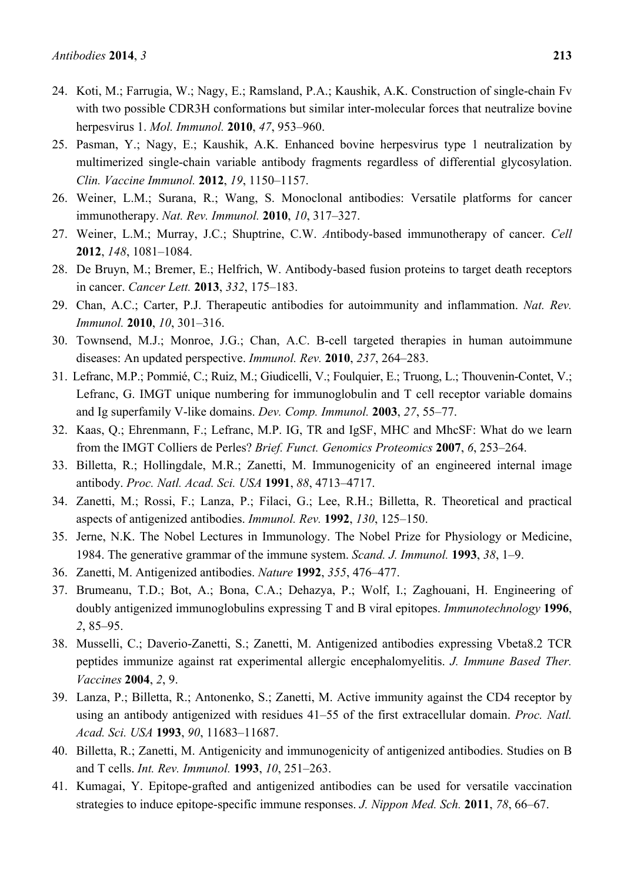- 24. Koti, M.; Farrugia, W.; Nagy, E.; Ramsland, P.A.; Kaushik, A.K. Construction of single-chain Fv with two possible CDR3H conformations but similar inter-molecular forces that neutralize bovine herpesvirus 1. *Mol. Immunol.* **2010**, *47*, 953–960.
- 25. Pasman, Y.; Nagy, E.; Kaushik, A.K. Enhanced bovine herpesvirus type 1 neutralization by multimerized single-chain variable antibody fragments regardless of differential glycosylation. *Clin. Vaccine Immunol.* **2012**, *19*, 1150–1157.
- 26. Weiner, L.M.; Surana, R.; Wang, S. Monoclonal antibodies: Versatile platforms for cancer immunotherapy. *Nat. Rev. Immunol.* **2010**, *10*, 317–327.
- 27. Weiner, L.M.; Murray, J.C.; Shuptrine, C.W. *A*ntibody-based immunotherapy of cancer. *Cell* **2012**, *148*, 1081–1084.
- 28. De Bruyn, M.; Bremer, E.; Helfrich, W. Antibody-based fusion proteins to target death receptors in cancer. *Cancer Lett.* **2013**, *332*, 175–183.
- 29. Chan, A.C.; Carter, P.J. Therapeutic antibodies for autoimmunity and inflammation. *Nat. Rev. Immunol.* **2010**, *10*, 301–316.
- 30. Townsend, M.J.; Monroe, J.G.; Chan, A.C. B-cell targeted therapies in human autoimmune diseases: An updated perspective. *Immunol. Rev.* **2010**, *237*, 264–283.
- 31. Lefranc, M.P.; Pommié, C.; Ruiz, M.; Giudicelli, V.; Foulquier, E.; Truong, L.; Thouvenin-Contet, V.; Lefranc, G. IMGT unique numbering for immunoglobulin and T cell receptor variable domains and Ig superfamily V-like domains. *Dev. Comp. Immunol.* **2003**, *27*, 55–77.
- 32. Kaas, Q.; Ehrenmann, F.; Lefranc, M.P. IG, TR and IgSF, MHC and MhcSF: What do we learn from the IMGT Colliers de Perles? *Brief. Funct. Genomics Proteomics* **2007**, *6*, 253–264.
- 33. Billetta, R.; Hollingdale, M.R.; Zanetti, M. Immunogenicity of an engineered internal image antibody. *Proc. Natl. Acad. Sci. USA* **1991**, *88*, 4713–4717.
- 34. Zanetti, M.; Rossi, F.; Lanza, P.; Filaci, G.; Lee, R.H.; Billetta, R. Theoretical and practical aspects of antigenized antibodies. *Immunol. Rev.* **1992**, *130*, 125–150.
- 35. Jerne, N.K. The Nobel Lectures in Immunology. The Nobel Prize for Physiology or Medicine, 1984. The generative grammar of the immune system. *Scand. J. Immunol.* **1993**, *38*, 1–9.
- 36. Zanetti, M. Antigenized antibodies. *Nature* **1992**, *355*, 476–477.
- 37. Brumeanu, T.D.; Bot, A.; Bona, C.A.; Dehazya, P.; Wolf, I.; Zaghouani, H. Engineering of doubly antigenized immunoglobulins expressing T and B viral epitopes. *Immunotechnology* **1996**, *2*, 85–95.
- 38. Musselli, C.; Daverio-Zanetti, S.; Zanetti, M. Antigenized antibodies expressing Vbeta8.2 TCR peptides immunize against rat experimental allergic encephalomyelitis. *J. Immune Based Ther. Vaccines* **2004**, *2*, 9.
- 39. Lanza, P.; Billetta, R.; Antonenko, S.; Zanetti, M. Active immunity against the CD4 receptor by using an antibody antigenized with residues 41–55 of the first extracellular domain. *Proc. Natl. Acad. Sci. USA* **1993**, *90*, 11683–11687.
- 40. Billetta, R.; Zanetti, M. Antigenicity and immunogenicity of antigenized antibodies. Studies on B and T cells. *Int. Rev. Immunol.* **1993**, *10*, 251–263.
- 41. Kumagai, Y. Epitope-grafted and antigenized antibodies can be used for versatile vaccination strategies to induce epitope-specific immune responses. *J. Nippon Med. Sch.* **2011**, *78*, 66–67.